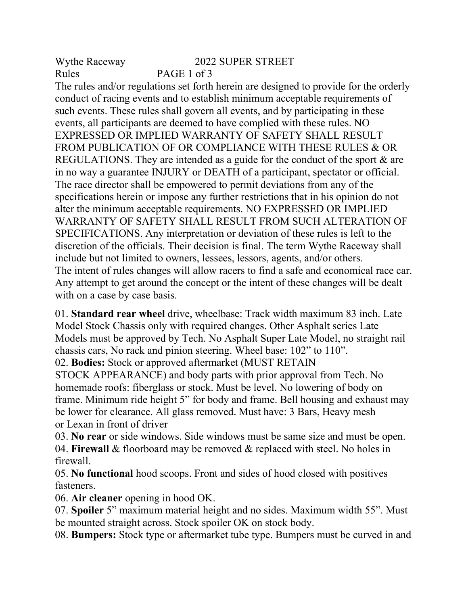Wythe Raceway 2022 SUPER STREET Rules PAGE 1 of 3

The rules and/or regulations set forth herein are designed to provide for the orderly conduct of racing events and to establish minimum acceptable requirements of such events. These rules shall govern all events, and by participating in these events, all participants are deemed to have complied with these rules. NO EXPRESSED OR IMPLIED WARRANTY OF SAFETY SHALL RESULT FROM PUBLICATION OF OR COMPLIANCE WITH THESE RULES & OR REGULATIONS. They are intended as a guide for the conduct of the sport & are in no way a guarantee INJURY or DEATH of a participant, spectator or official. The race director shall be empowered to permit deviations from any of the specifications herein or impose any further restrictions that in his opinion do not alter the minimum acceptable requirements. NO EXPRESSED OR IMPLIED WARRANTY OF SAFETY SHALL RESULT FROM SUCH ALTERATION OF SPECIFICATIONS. Any interpretation or deviation of these rules is left to the discretion of the officials. Their decision is final. The term Wythe Raceway shall include but not limited to owners, lessees, lessors, agents, and/or others. The intent of rules changes will allow racers to find a safe and economical race car. Any attempt to get around the concept or the intent of these changes will be dealt with on a case by case basis.

01. **Standard rear wheel** drive, wheelbase: Track width maximum 83 inch. Late Model Stock Chassis only with required changes. Other Asphalt series Late Models must be approved by Tech. No Asphalt Super Late Model, no straight rail chassis cars, No rack and pinion steering. Wheel base: 102" to 110". 02. **Bodies:** Stock or approved aftermarket (MUST RETAIN

STOCK APPEARANCE) and body parts with prior approval from Tech. No homemade roofs: fiberglass or stock. Must be level. No lowering of body on frame. Minimum ride height 5" for body and frame. Bell housing and exhaust may be lower for clearance. All glass removed. Must have: 3 Bars, Heavy mesh or Lexan in front of driver

03. **No rear** or side windows. Side windows must be same size and must be open. 04. **Firewall** & floorboard may be removed & replaced with steel. No holes in firewall.

05. **No functional** hood scoops. Front and sides of hood closed with positives fasteners.

06. **Air cleaner** opening in hood OK.

07. **Spoiler** 5" maximum material height and no sides. Maximum width 55". Must be mounted straight across. Stock spoiler OK on stock body.

08. **Bumpers:** Stock type or aftermarket tube type. Bumpers must be curved in and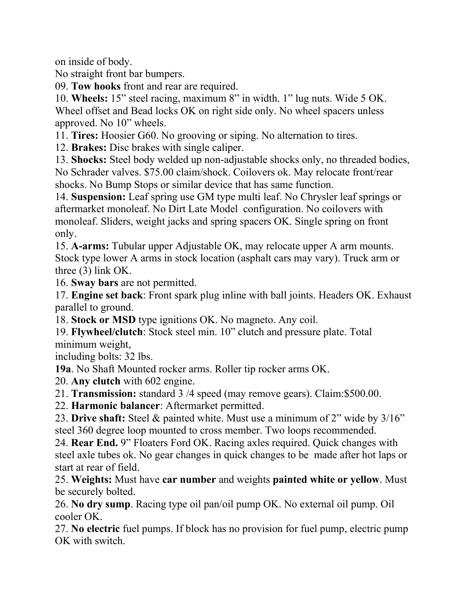on inside of body.

No straight front bar bumpers.

09. **Tow hooks** front and rear are required.

10. **Wheels:** 15" steel racing, maximum 8" in width. 1" lug nuts. Wide 5 OK. Wheel offset and Bead locks OK on right side only. No wheel spacers unless approved. No 10" wheels.

11. **Tires:** Hoosier G60. No grooving or siping. No alternation to tires.

12. **Brakes:** Disc brakes with single caliper.

13. **Shocks:** Steel body welded up non-adjustable shocks only, no threaded bodies, No Schrader valves. \$75.00 claim/shock. Coilovers ok. May relocate front/rear shocks. No Bump Stops or similar device that has same function.

14. **Suspension:** Leaf spring use GM type multi leaf. No Chrysler leaf springs or aftermarket monoleaf. No Dirt Late Model configuration. No coilovers with monoleaf. Sliders, weight jacks and spring spacers OK. Single spring on front only.

15. **A-arms:** Tubular upper Adjustable OK, may relocate upper A arm mounts. Stock type lower A arms in stock location (asphalt cars may vary). Truck arm or three (3) link OK.

16. **Sway bars** are not permitted.

17. **Engine set back**: Front spark plug inline with ball joints. Headers OK. Exhaust parallel to ground.

18. **Stock or MSD** type ignitions OK. No magneto. Any coil.

19. **Flywheel/clutch**: Stock steel min. 10" clutch and pressure plate. Total minimum weight,

including bolts: 32 lbs.

**19a**. No Shaft Mounted rocker arms. Roller tip rocker arms OK.

20. **Any clutch** with 602 engine.

21. **Transmission:** standard 3 /4 speed (may remove gears). Claim:\$500.00.

22. **Harmonic balancer**: Aftermarket permitted.

23. **Drive shaft:** Steel & painted white. Must use a minimum of 2" wide by 3/16" steel 360 degree loop mounted to cross member. Two loops recommended.

24. **Rear End.** 9" Floaters Ford OK. Racing axles required. Quick changes with steel axle tubes ok. No gear changes in quick changes to be made after hot laps or start at rear of field.

25. **Weights:** Must have **car number** and weights **painted white or yellow**. Must be securely bolted.

26. **No dry sump**. Racing type oil pan/oil pump OK. No external oil pump. Oil cooler OK.

27. **No electric** fuel pumps. If block has no provision for fuel pump, electric pump OK with switch.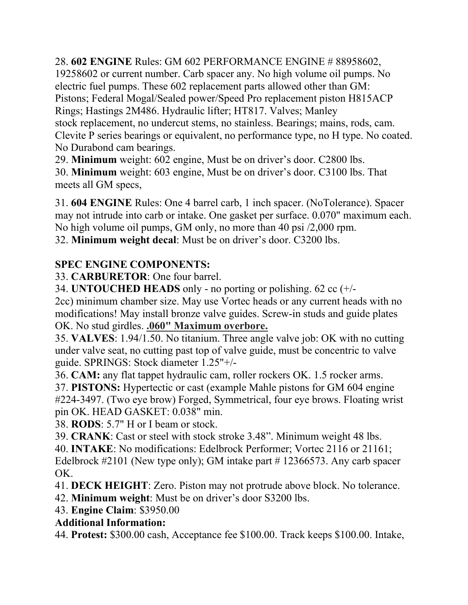28. **602 ENGINE** Rules: GM 602 PERFORMANCE ENGINE # 88958602, 19258602 or current number. Carb spacer any. No high volume oil pumps. No electric fuel pumps. These 602 replacement parts allowed other than GM: Pistons; Federal Mogal/Sealed power/Speed Pro replacement piston H815ACP Rings; Hastings 2M486. Hydraulic lifter; HT817. Valves; Manley stock replacement, no undercut stems, no stainless. Bearings; mains, rods, cam. Clevite P series bearings or equivalent, no performance type, no H type. No coated. No Durabond cam bearings.

29. **Minimum** weight: 602 engine, Must be on driver's door. C2800 lbs.

30. **Minimum** weight: 603 engine, Must be on driver's door. C3100 lbs. That meets all GM specs,

31. **604 ENGINE** Rules: One 4 barrel carb, 1 inch spacer. (NoTolerance). Spacer may not intrude into carb or intake. One gasket per surface. 0.070" maximum each. No high volume oil pumps, GM only, no more than 40 psi /2,000 rpm. 32. **Minimum weight decal**: Must be on driver's door. C3200 lbs.

## **SPEC ENGINE COMPONENTS:**

33. **CARBURETOR**: One four barrel.

34. **UNTOUCHED HEADS** only - no porting or polishing. 62 cc (+/-

2cc) minimum chamber size. May use Vortec heads or any current heads with no modifications! May install bronze valve guides. Screw-in studs and guide plates OK. No stud girdles. **.060" Maximum overbore.**

35. **VALVES**: 1.94/1.50. No titanium. Three angle valve job: OK with no cutting under valve seat, no cutting past top of valve guide, must be concentric to valve guide. SPRINGS: Stock diameter 1.25"+/-

36. **CAM:** any flat tappet hydraulic cam, roller rockers OK. 1.5 rocker arms.

37. **PISTONS:** Hypertectic or cast (example Mahle pistons for GM 604 engine #224-3497. (Two eye brow) Forged, Symmetrical, four eye brows. Floating wrist pin OK. HEAD GASKET: 0.038" min.

38. **RODS**: 5.7" H or I beam or stock.

39. **CRANK**: Cast or steel with stock stroke 3.48". Minimum weight 48 lbs.

40. **INTAKE**: No modifications: Edelbrock Performer; Vortec 2116 or 21161; Edelbrock #2101 (New type only); GM intake part #12366573. Any carb spacer OK.

41. **DECK HEIGHT**: Zero. Piston may not protrude above block. No tolerance.

42. **Minimum weight**: Must be on driver's door S3200 lbs.

43. **Engine Claim**: \$3950.00

## **Additional Information:**

44. **Protest:** \$300.00 cash, Acceptance fee \$100.00. Track keeps \$100.00. Intake,